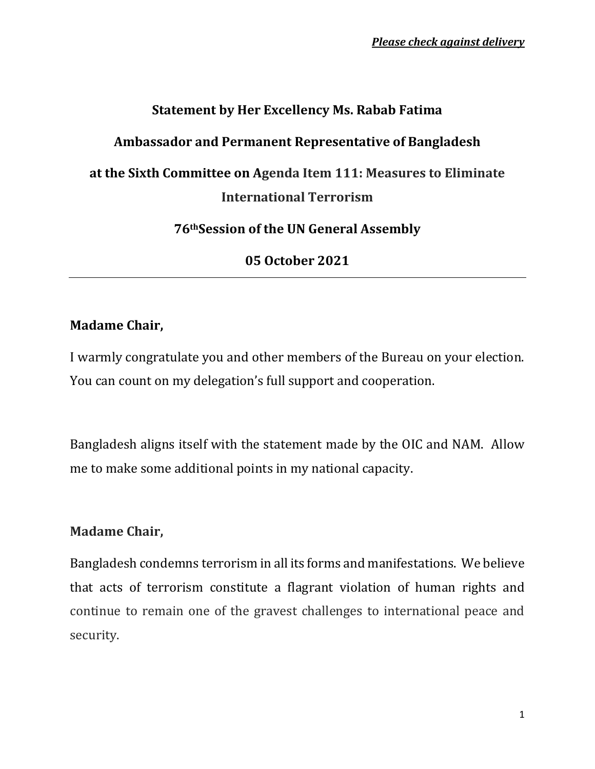# **Statement by Her Excellency Ms. Rabab Fatima Ambassador and Permanent Representative of Bangladesh at the Sixth Committee on Agenda Item 111: Measures to Eliminate International Terrorism**

**76thSession of the UN General Assembly**

**05 October 2021**

## **Madame Chair,**

I warmly congratulate you and other members of the Bureau on your election. You can count on my delegation's full support and cooperation.

Bangladesh aligns itself with the statement made by the OIC and NAM. Allow me to make some additional points in my national capacity.

### **Madame Chair,**

Bangladesh condemns terrorism in all its forms and manifestations. We believe that acts of terrorism constitute a flagrant violation of human rights and continue to remain one of the gravest challenges to international peace and security.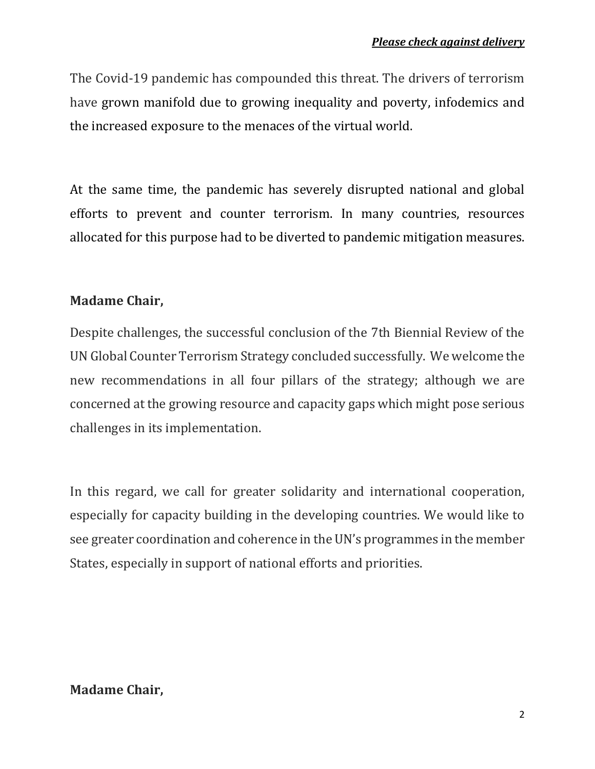The Covid-19 pandemic has compounded this threat. The drivers of terrorism have grown manifold due to growing inequality and poverty, infodemics and the increased exposure to the menaces of the virtual world.

At the same time, the pandemic has severely disrupted national and global efforts to prevent and counter terrorism. In many countries, resources allocated for this purpose had to be diverted to pandemic mitigation measures.

### **Madame Chair,**

Despite challenges, the successful conclusion of the 7th Biennial Review of the UN Global Counter Terrorism Strategy concluded successfully. We welcome the new recommendations in all four pillars of the strategy; although we are concerned at the growing resource and capacity gaps which might pose serious challenges in its implementation.

In this regard, we call for greater solidarity and international cooperation, especially for capacity building in the developing countries. We would like to see greater coordination and coherence in the UN's programmes in the member States, especially in support of national efforts and priorities.

### **Madame Chair,**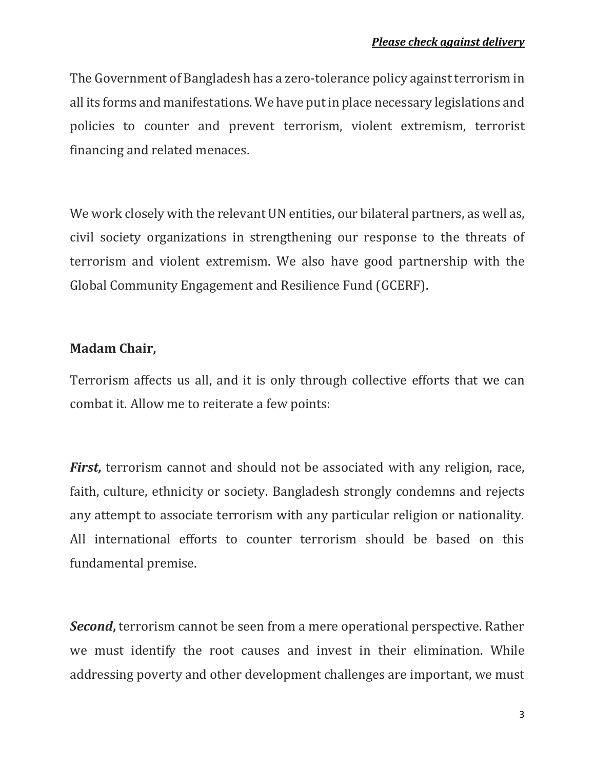The Government of Bangladesh has a zero-tolerance policy against terrorism in all its forms and manifestations. We have put in place necessary legislations and policies to counter and prevent terrorism, violent extremism, terrorist financing and related menaces.

We work closely with the relevant UN entities, our bilateral partners, as well as, civil society organizations in strengthening our response to the threats of terrorism and violent extremism. We also have good partnership with the Global Community Engagement and Resilience Fund (GCERF).

### **Madam Chair,**

Terrorism affects us all, and it is only through collective efforts that we can combat it. Allow me to reiterate a few points:

*First,* terrorism cannot and should not be associated with any religion, race, faith, culture, ethnicity or society. Bangladesh strongly condemns and rejects any attempt to associate terrorism with any particular religion or nationality. All international efforts to counter terrorism should be based on this fundamental premise.

*Second***,** terrorism cannot be seen from a mere operational perspective. Rather we must identify the root causes and invest in their elimination. While addressing poverty and other development challenges are important, we must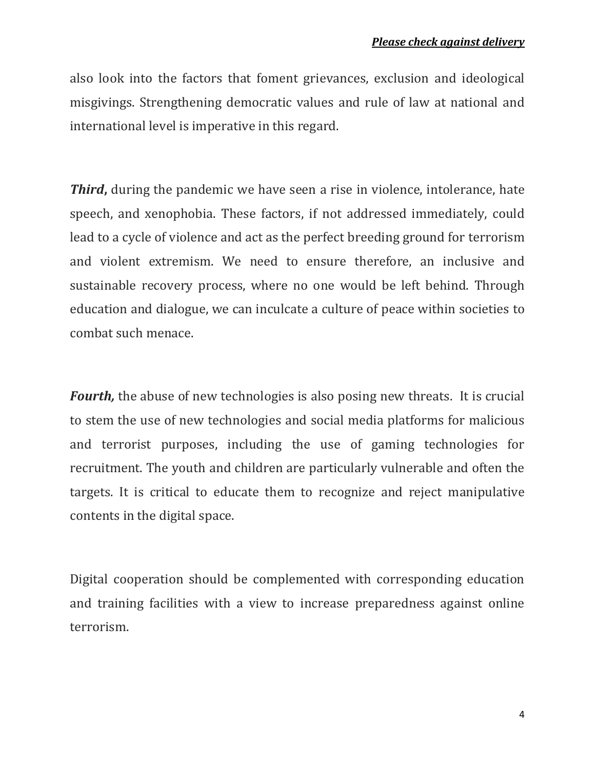also look into the factors that foment grievances, exclusion and ideological misgivings. Strengthening democratic values and rule of law at national and international level is imperative in this regard.

*Third***,** during the pandemic we have seen a rise in violence, intolerance, hate speech, and xenophobia. These factors, if not addressed immediately, could lead to a cycle of violence and act as the perfect breeding ground for terrorism and violent extremism. We need to ensure therefore, an inclusive and sustainable recovery process, where no one would be left behind. Through education and dialogue, we can inculcate a culture of peace within societies to combat such menace.

*Fourth,* the abuse of new technologies is also posing new threats. It is crucial to stem the use of new technologies and social media platforms for malicious and terrorist purposes, including the use of gaming technologies for recruitment. The youth and children are particularly vulnerable and often the targets. It is critical to educate them to recognize and reject manipulative contents in the digital space.

Digital cooperation should be complemented with corresponding education and training facilities with a view to increase preparedness against online terrorism.